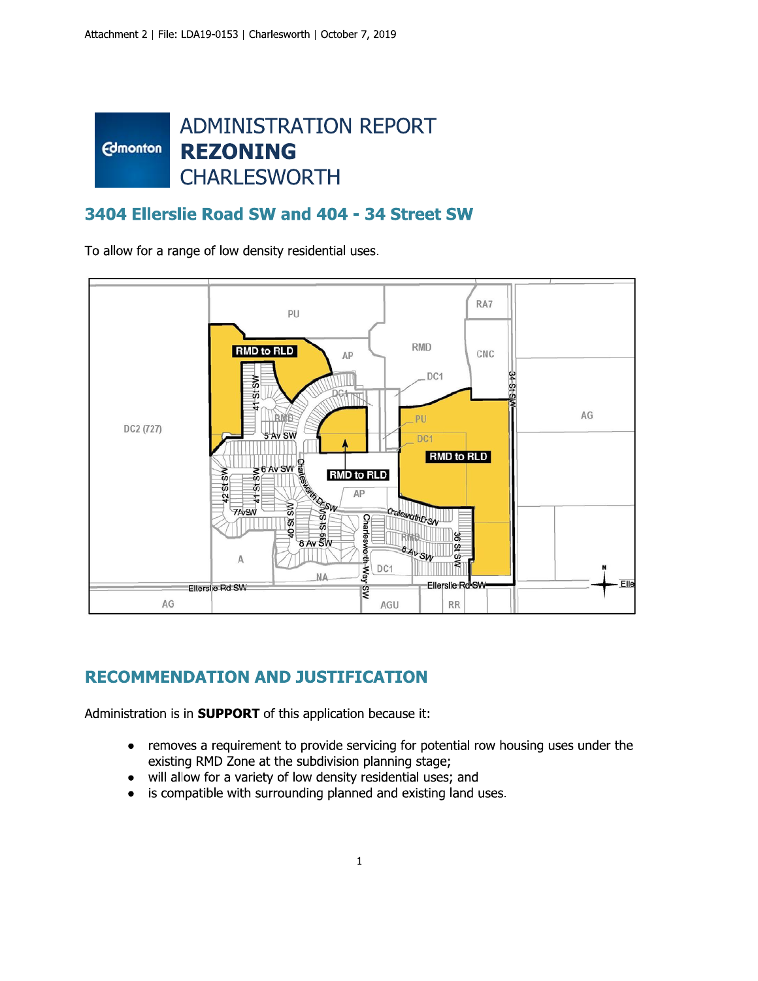#### **ADMINISTRATION REPORT Edmonton REZONING CHARLESWORTH**

#### 3404 Ellerslie Road SW and 404 - 34 Street SW

To allow for a range of low density residential uses.



# **RECOMMENDATION AND JUSTIFICATION**

Administration is in **SUPPORT** of this application because it:

- removes a requirement to provide servicing for potential row housing uses under the  $\bullet$ existing RMD Zone at the subdivision planning stage;
- will allow for a variety of low density residential uses; and
- is compatible with surrounding planned and existing land uses.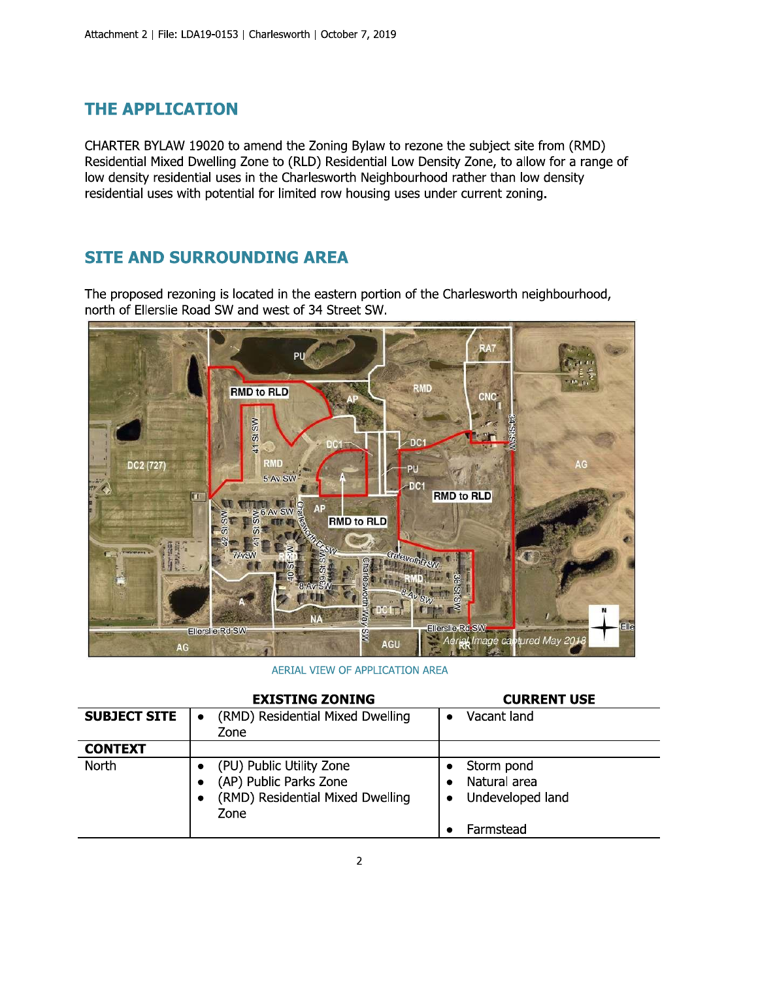#### **THE APPLICATION**

CHARTER BYLAW 19020 to amend the Zoning Bylaw to rezone the subject site from (RMD) Residential Mixed Dwelling Zone to (RLD) Residential Low Density Zone, to allow for a range of low density residential uses in the Charlesworth Neighbourhood rather than low density residential uses with potential for limited row housing uses under current zoning.

## **SITE AND SURROUNDING AREA**

The proposed rezoning is located in the eastern portion of the Charlesworth neighbourhood, north of Ellerslie Road SW and west of 34 Street SW.



AERIAL VIEW OF APPLICATION AREA

|                     | <b>EXISTING ZONING</b>                   | <b>CURRENT USE</b> |
|---------------------|------------------------------------------|--------------------|
| <b>SUBJECT SITE</b> | (RMD) Residential Mixed Dwelling         | Vacant land        |
|                     | Zone                                     |                    |
| <b>CONTEXT</b>      |                                          |                    |
| <b>North</b>        | (PU) Public Utility Zone                 | Storm pond         |
|                     | (AP) Public Parks Zone                   | Natural area       |
|                     | (RMD) Residential Mixed Dwelling<br>Zone | Undeveloped land   |
|                     |                                          | Farmstead          |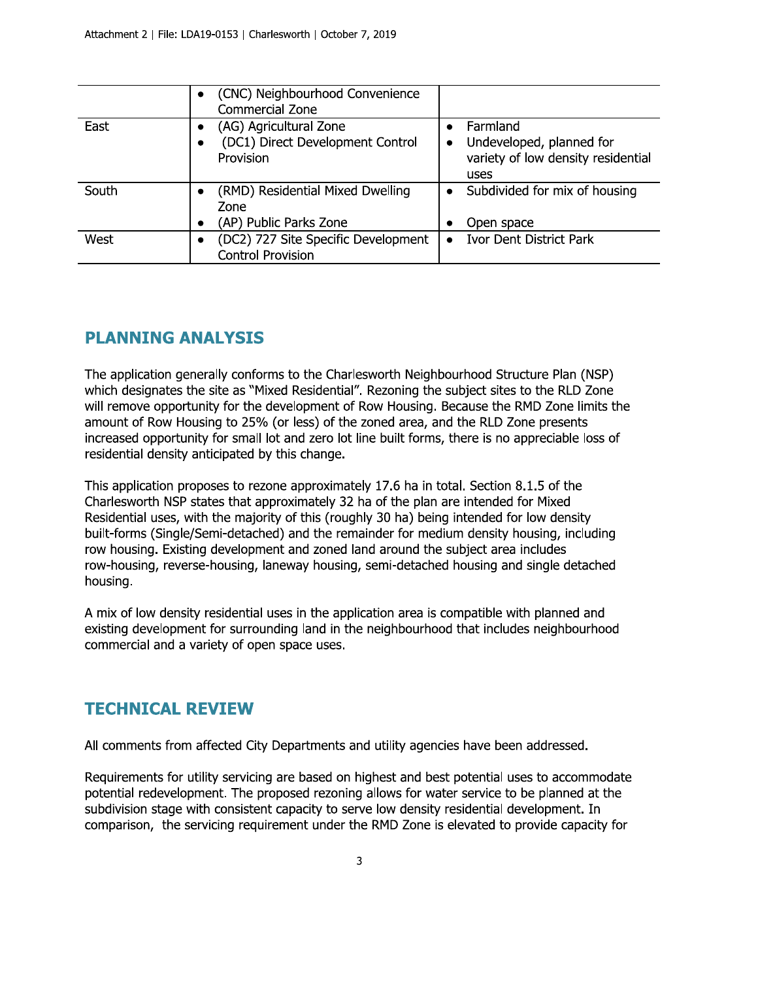|       | (CNC) Neighbourhood Convenience<br>Commercial Zone |                                    |
|-------|----------------------------------------------------|------------------------------------|
| East  | (AG) Agricultural Zone                             | Farmland                           |
|       | (DC1) Direct Development Control                   | Undeveloped, planned for           |
|       | Provision                                          | variety of low density residential |
|       |                                                    | uses                               |
| South | (RMD) Residential Mixed Dwelling                   | Subdivided for mix of housing      |
|       | Zone                                               |                                    |
|       | (AP) Public Parks Zone                             | Open space                         |
| West  | (DC2) 727 Site Specific Development<br>٠           | <b>Ivor Dent District Park</b>     |
|       | <b>Control Provision</b>                           |                                    |

#### **PLANNING ANALYSIS**

The application generally conforms to the Charlesworth Neighbourhood Structure Plan (NSP) which designates the site as "Mixed Residential". Rezoning the subject sites to the RLD Zone will remove opportunity for the development of Row Housing. Because the RMD Zone limits the amount of Row Housing to 25% (or less) of the zoned area, and the RLD Zone presents increased opportunity for small lot and zero lot line built forms, there is no appreciable loss of residential density anticipated by this change.

This application proposes to rezone approximately 17.6 ha in total. Section 8.1.5 of the Charlesworth NSP states that approximately 32 ha of the plan are intended for Mixed Residential uses, with the majority of this (roughly 30 ha) being intended for low density built-forms (Single/Semi-detached) and the remainder for medium density housing, including row housing. Existing development and zoned land around the subject area includes row-housing, reverse-housing, laneway housing, semi-detached housing and single detached housing.

A mix of low density residential uses in the application area is compatible with planned and existing development for surrounding land in the neighbourhood that includes neighbourhood commercial and a variety of open space uses.

#### **TECHNICAL REVIEW**

All comments from affected City Departments and utility agencies have been addressed.

Requirements for utility servicing are based on highest and best potential uses to accommodate potential redevelopment. The proposed rezoning allows for water service to be planned at the subdivision stage with consistent capacity to serve low density residential development. In comparison, the servicing requirement under the RMD Zone is elevated to provide capacity for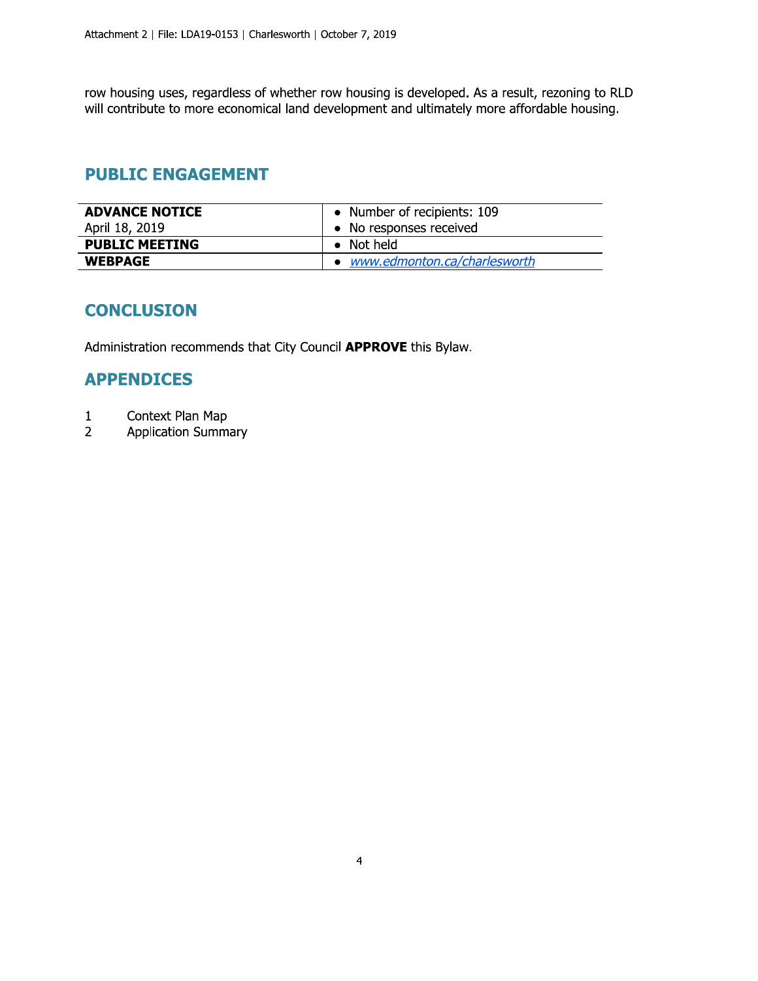row housing uses, regardless of whether row housing is developed. As a result, rezoning to RLD will contribute to more economical land development and ultimately more affordable housing.

## **PUBLIC ENGAGEMENT**

| <b>ADVANCE NOTICE</b> | • Number of recipients: 109    |
|-----------------------|--------------------------------|
| April 18, 2019        | • No responses received        |
| <b>PUBLIC MEETING</b> | $\bullet$ Not held             |
| <b>WEBPAGE</b>        | • www.edmonton.ca/charlesworth |

## **CONCLUSION**

Administration recommends that City Council APPROVE this Bylaw.

#### **APPENDICES**

- $\mathbf{1}$ Context Plan Map
- Application Summary  $\overline{2}$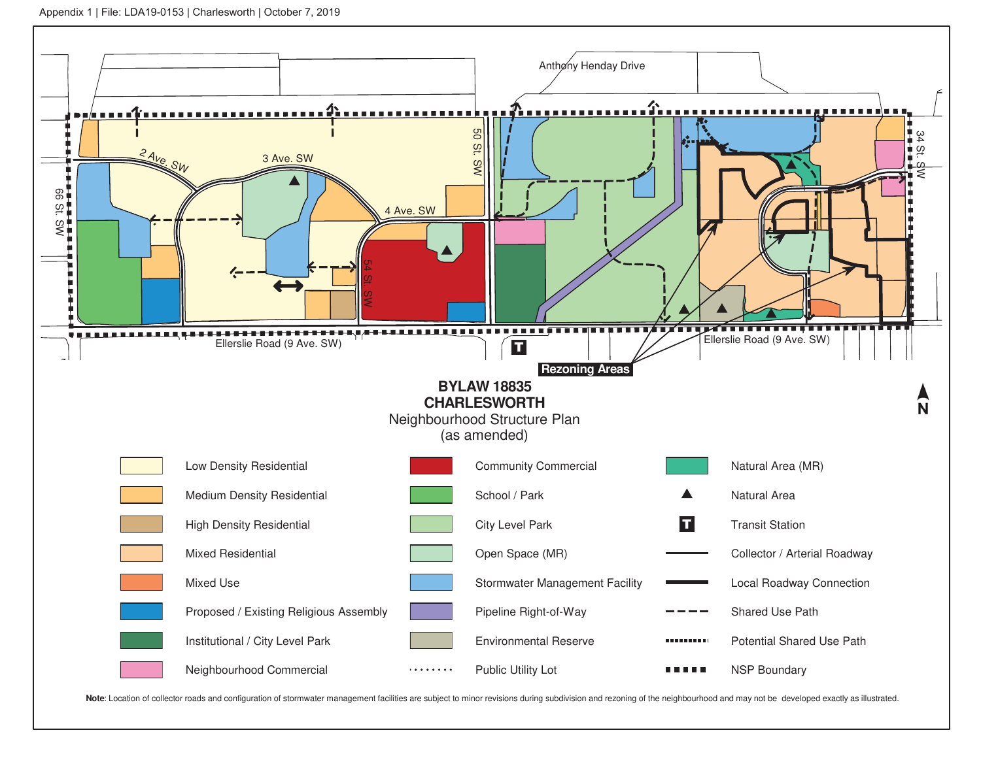

Note: Location of collector roads and configuration of stormwater management facilities are subject to minor revisions during subdivision and rezoning of the neighbourhood and may not be developed exactly as illustrated.